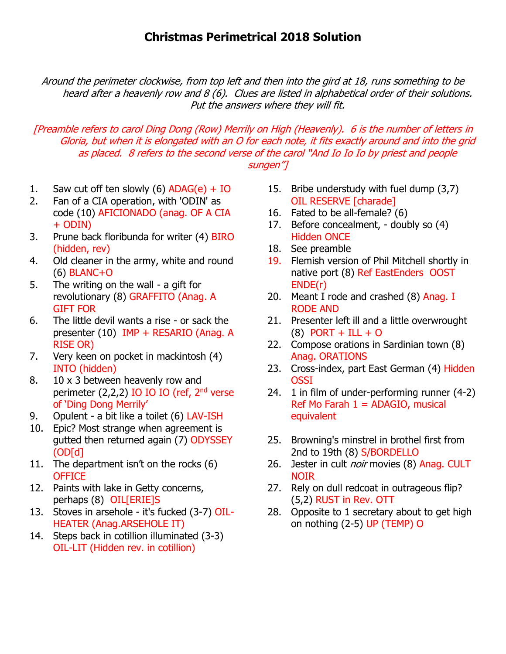Around the perimeter clockwise, from top left and then into the gird at 18, runs something to be heard after a heavenly row and 8 (6). Clues are listed in alphabetical order of their solutions. Put the answers where they will fit.

## [Preamble refers to carol Ding Dong (Row) Merrily on High (Heavenly). 6 is the number of letters in Gloria, but when it is elongated with an O for each note, it fits exactly around and into the grid as placed. 8 refers to the second verse of the carol "And Io Io Io by priest and people sungen"]

- 1. Saw cut off ten slowly (6)  $ADAG(e) + IO$
- 2. Fan of a CIA operation, with 'ODIN' as code (10) AFICIONADO (anag. OF A CIA + ODIN)
- 3. Prune back floribunda for writer (4) BIRO (hidden, rev)
- 4. Old cleaner in the army, white and round (6) BLANC+O
- 5. The writing on the wall a gift for revolutionary (8) GRAFFITO (Anag. A GIFT FOR
- 6. The little devil wants a rise or sack the presenter (10) IMP + RESARIO (Anag. A RISE OR)
- 7. Very keen on pocket in mackintosh (4) INTO (hidden)
- 8. 10 x 3 between heavenly row and perimeter  $(2,2,2)$  IO IO IO (ref,  $2<sup>nd</sup>$  verse of 'Ding Dong Merrily'
- 9. Opulent a bit like a toilet (6) LAV-ISH
- 10. Epic? Most strange when agreement is gutted then returned again (7) ODYSSEY (OD[d]
- 11. The department isn't on the rocks (6) **OFFICE**
- 12. Paints with lake in Getty concerns, perhaps (8) OIL[ERIE]S
- 13. Stoves in arsehole it's fucked (3-7) OIL-HEATER (Anag.ARSEHOLE IT)
- 14. Steps back in cotillion illuminated (3-3) OIL-LIT (Hidden rev. in cotillion)
- 15. Bribe understudy with fuel dump (3,7) OIL RESERVE [charade]
- 16. Fated to be all-female? (6)
- 17. Before concealment, doubly so (4) Hidden ONCE
- 18. See preamble
- 19. Flemish version of Phil Mitchell shortly in native port (8) Ref EastEnders OOST ENDE(r)
- 20. Meant I rode and crashed (8) Anag. I RODE AND
- 21. Presenter left ill and a little overwrought  $(8)$  PORT + ILL + O
- 22. Compose orations in Sardinian town (8) Anag. ORATIONS
- 23. Cross-index, part East German (4) Hidden OSSI
- 24. 1 in film of under-performing runner (4-2) Ref Mo Farah  $1 =$  ADAGIO, musical equivalent
- 25. Browning's minstrel in brothel first from 2nd to 19th (8) S/BORDELLO
- 26. Jester in cult *noir* movies (8) Anag. CULT NOIR
- 27. Rely on dull redcoat in outrageous flip? (5,2) RUST in Rev. OTT
- 28. Opposite to 1 secretary about to get high on nothing (2-5) UP (TEMP) O